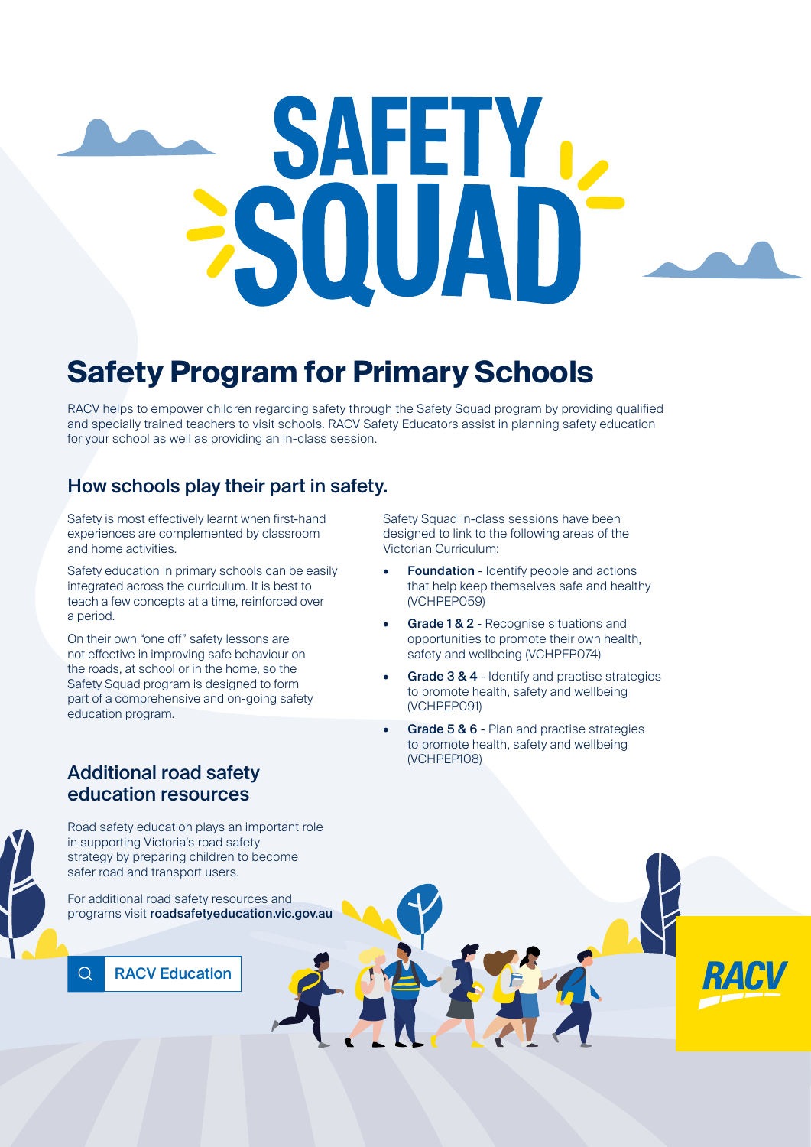# SAFETY<br>SOUAD

# **Safety Program for Primary Schools**

RACV helps to empower children regarding safety through the Safety Squad program by providing qualified and specially trained teachers to visit schools. RACV Safety Educators assist in planning safety education for your school as well as providing an in-class session.

### How schools play their part in safety.

Safety is most effectively learnt when first-hand experiences are complemented by classroom and home activities.

Safety education in primary schools can be easily integrated across the curriculum. It is best to teach a few concepts at a time, reinforced over a period.

On their own "one off" safety lessons are not effective in improving safe behaviour on the roads, at school or in the home, so the Safety Squad program is designed to form part of a comprehensive and on-going safety education program.

Safety Squad in-class sessions have been designed to link to the following areas of the Victorian Curriculum:

- Foundation Identify people and actions that help keep themselves safe and healthy (VCHPEP059)
- Grade 1 & 2 Recognise situations and opportunities to promote their own health, safety and wellbeing (VCHPEP074)
- Grade 3 & 4 Identify and practise strategies to promote health, safety and wellbeing (VCHPEP091)
- Grade 5 & 6 Plan and practise strategies to promote health, safety and wellbeing (VCHPEP108)

香气体

**RACV** 



Road safety education plays an important role in supporting Victoria's road safety strategy by preparing children to become safer road and transport users.

For additional road safety resources and programs visit roadsafetyeducation.vic.gov.au

Q RACV Education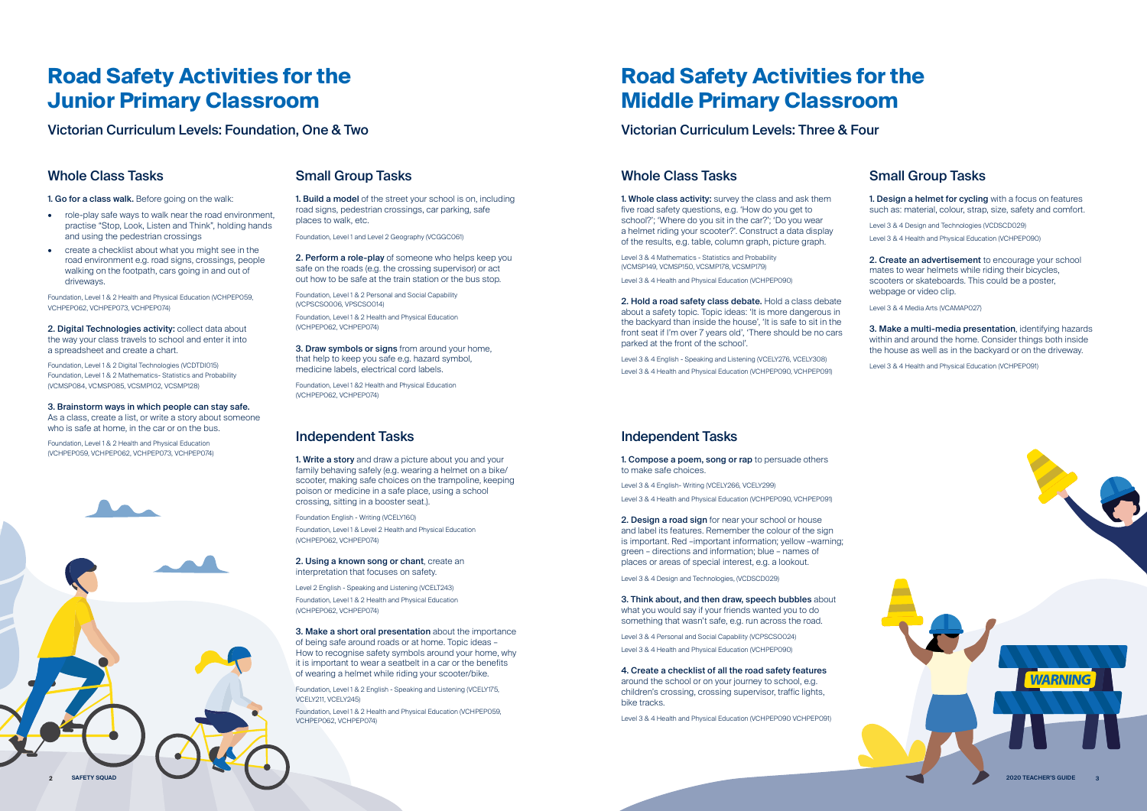

# **Road Safety Activities for the Junior Primary Classroom**

Victorian Curriculum Levels: Foundation, One & Two

### Whole Class Tasks

1. Go for a class walk. Before going on the walk:

- role-play safe ways to walk near the road environment, practise "Stop, Look, Listen and Think", holding hands and using the pedestrian crossings
- create a checklist about what you might see in the road environment e.g. road signs, crossings, people walking on the footpath, cars going in and out of driveways.

Foundation, Level 1 & 2 Health and Physical Education (VCHPEP059, VCHPEP062, VCHPEP073, VCHPEP074)

1. Build a model of the street your school is on, including road signs, pedestrian crossings, car parking, safe places to walk, etc.

2. Digital Technologies activity: collect data about the way your class travels to school and enter it into a spreadsheet and create a chart.

Foundation, Level 1 & 2 Digital Technologies (VCDTDI015) Foundation, Level 1 & 2 Mathematics- Statistics and Probability (VCMSP084, VCMSP085, VCSMP102, VCSMP128)

### 3. Brainstorm ways in which people can stay safe.

As a class, create a list, or write a story about someone who is safe at home, in the car or on the bus.

> 1. Write a story and draw a picture about you and your family behaving safely (e.g. wearing a helmet on a bike/ scooter, making safe choices on the trampoline, keeping poison or medicine in a safe place, using a school crossing, sitting in a booster seat.).

Foundation, Level 1 & 2 Health and Physical Education (VCHPEP059, VCHPEP062, VCHPEP073, VCHPEP074)



### Small Group Tasks

Foundation, Level 1 and Level 2 Geography (VCGGC061)

2. Perform a role-play of someone who helps keep you safe on the roads (e.g. the crossing supervisor) or act out how to be safe at the train station or the bus stop.

Foundation, Level 1 & 2 Personal and Social Capability (VCPSCSO006, VPSCSO014) Foundation, Level 1 & 2 Health and Physical Education 1. Whole class activity: survey the class and ask them five road safety questions, e.g. 'How do you get to school?'; 'Where do you sit in the car?'; 'Do you wear a helmet riding your scooter?'. Construct a data display of the results, e.g. table, column graph, picture graph.

(VCHPEP062, VCHPEP074)

3. Draw symbols or signs from around your home, that help to keep you safe e.g. hazard symbol, medicine labels, electrical cord labels.

2. Hold a road safety class debate. Hold a class debate about a safety topic. Topic ideas: 'It is more dangerous in the backyard than inside the house', 'It is safe to sit in the front seat if I'm over 7 years old', 'There should be no cars parked at the front of the school'.

Foundation, Level 1 &2 Health and Physical Education (VCHPEP062, VCHPEP074)

### Independent Tasks

Foundation English - Writing (VCELY160) Foundation, Level 1 & Level 2 Health and Physical Education (VCHPEP062, VCHPEP074)

- 1. Design a helmet for cycling with a focus on features such as: material, colour, strap, size, safety and comfort.
- Level 3 & 4 Design and Technologies (VCDSCD029) Level 3 & 4 Health and Physical Education (VCHPEP090)
- 2. Create an advertisement to encourage your school mates to wear helmets while riding their bicycles, scooters or skateboards. This could be a poster, webpage or video clip.
- Level 3 & 4 Media Arts (VCAMAP027)
- 3. Make a multi-media presentation, identifying hazards within and around the home. Consider things both inside the house as well as in the backyard or on the driveway.
- Level 3 & 4 Health and Physical Education (VCHPEP091)

2. Using a known song or chant, create an interpretation that focuses on safety.

Level 2 English - Speaking and Listening (VCELT243) Foundation, Level 1 & 2 Health and Physical Education (VCHPEP062, VCHPEP074)

2. Design a road sign for near your school or house and label its features. Remember the colour of the sign is important. Red –important information; yellow –warning; green – directions and information; blue – names of places or areas of special interest, e.g. a lookout.

3. Make a short oral presentation about the importance

of being safe around roads or at home. Topic ideas – How to recognise safety symbols around your home, why it is important to wear a seatbelt in a car or the benefits of wearing a helmet while riding your scooter/bike.

Foundation, Level 1 & 2 English - Speaking and Listening (VCELY175, VCELY211, VCELY245)

Foundation, Level 1 & 2 Health and Physical Education (VCHPEP059, VCHPEP062, VCHPEP074)

# **Road Safety Activities for the Middle Primary Classroom**

Victorian Curriculum Levels: Three & Four

### Whole Class Tasks

Level 3 & 4 Mathematics - Statistics and Probability (VCMSP149, VCMSP150, VCSMP178, VCSMP179)

Level 3 & 4 Health and Physical Education (VCHPEP090)

Level 3 & 4 English - Speaking and Listening (VCELY276, VCELY308) Level 3 & 4 Health and Physical Education (VCHPEP090, VCHPEP091)

## Small Group Tasks

### Independent Tasks

1. Compose a poem, song or rap to persuade others to make safe choices.

Level 3 & 4 English- Writing (VCELY266, VCELY299)

Level 3 & 4 Health and Physical Education (VCHPEP090, VCHPEP091)

Level 3 & 4 Design and Technologies, (VCDSCD029)

3. Think about, and then draw, speech bubbles about what you would say if your friends wanted you to do something that wasn't safe, e.g. run across the road.

Level 3 & 4 Personal and Social Capability (VCPSCSO024) Level 3 & 4 Health and Physical Education (VCHPEP090)

4. Create a checklist of all the road safety features around the school or on your journey to school, e.g. children's crossing, crossing supervisor, traffic lights, bike tracks.

Level 3 & 4 Health and Physical Education (VCHPEP090 VCHPEP091)